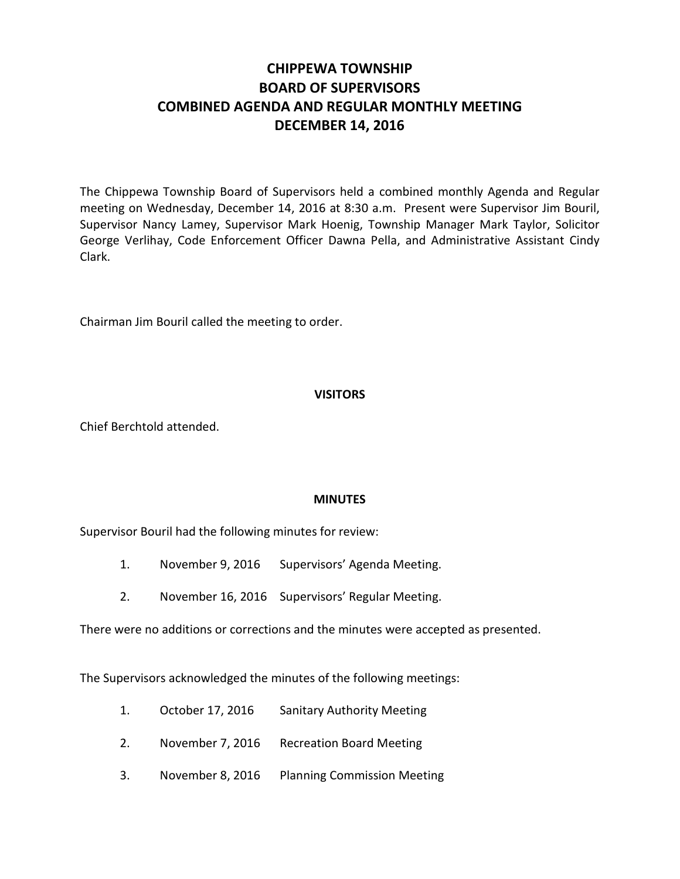# **CHIPPEWA TOWNSHIP BOARD OF SUPERVISORS COMBINED AGENDA AND REGULAR MONTHLY MEETING DECEMBER 14, 2016**

The Chippewa Township Board of Supervisors held a combined monthly Agenda and Regular meeting on Wednesday, December 14, 2016 at 8:30 a.m. Present were Supervisor Jim Bouril, Supervisor Nancy Lamey, Supervisor Mark Hoenig, Township Manager Mark Taylor, Solicitor George Verlihay, Code Enforcement Officer Dawna Pella, and Administrative Assistant Cindy Clark.

Chairman Jim Bouril called the meeting to order.

# **VISITORS**

Chief Berchtold attended.

# **MINUTES**

Supervisor Bouril had the following minutes for review:

- 1. November 9, 2016 Supervisors' Agenda Meeting.
- 2. November 16, 2016 Supervisors' Regular Meeting.

There were no additions or corrections and the minutes were accepted as presented.

The Supervisors acknowledged the minutes of the following meetings:

- 1. October 17, 2016 Sanitary Authority Meeting
- 2. November 7, 2016 Recreation Board Meeting
- 3. November 8, 2016 Planning Commission Meeting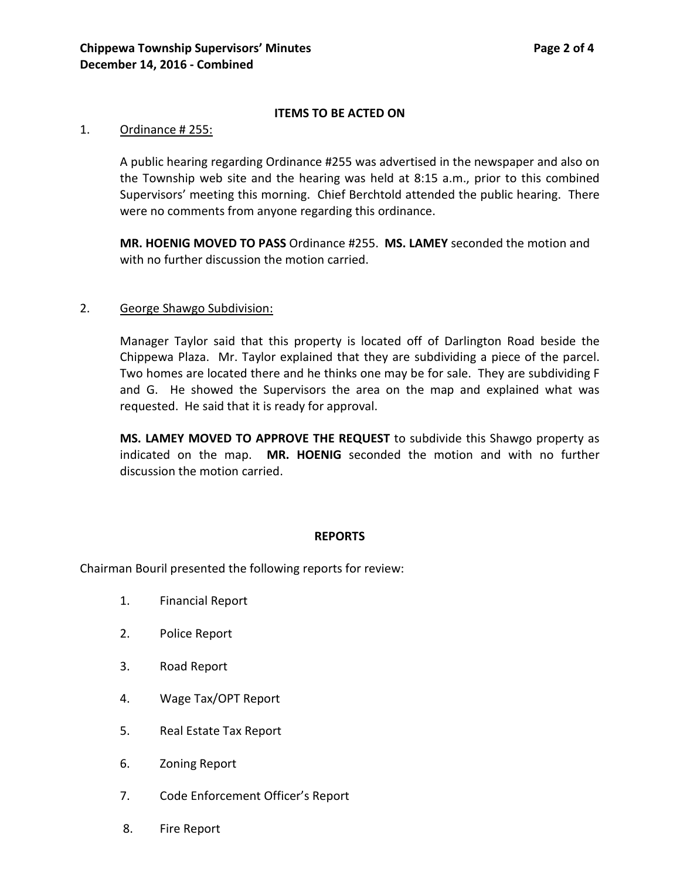# **ITEMS TO BE ACTED ON**

### 1. Ordinance # 255:

A public hearing regarding Ordinance #255 was advertised in the newspaper and also on the Township web site and the hearing was held at 8:15 a.m., prior to this combined Supervisors' meeting this morning. Chief Berchtold attended the public hearing. There were no comments from anyone regarding this ordinance.

**MR. HOENIG MOVED TO PASS** Ordinance #255. **MS. LAMEY** seconded the motion and with no further discussion the motion carried.

# 2. George Shawgo Subdivision:

Manager Taylor said that this property is located off of Darlington Road beside the Chippewa Plaza. Mr. Taylor explained that they are subdividing a piece of the parcel. Two homes are located there and he thinks one may be for sale. They are subdividing F and G. He showed the Supervisors the area on the map and explained what was requested. He said that it is ready for approval.

**MS. LAMEY MOVED TO APPROVE THE REQUEST** to subdivide this Shawgo property as indicated on the map. **MR. HOENIG** seconded the motion and with no further discussion the motion carried.

#### **REPORTS**

Chairman Bouril presented the following reports for review:

- 1. Financial Report
- 2. Police Report
- 3. Road Report
- 4. Wage Tax/OPT Report
- 5. Real Estate Tax Report
- 6. Zoning Report
- 7. Code Enforcement Officer's Report
- 8. Fire Report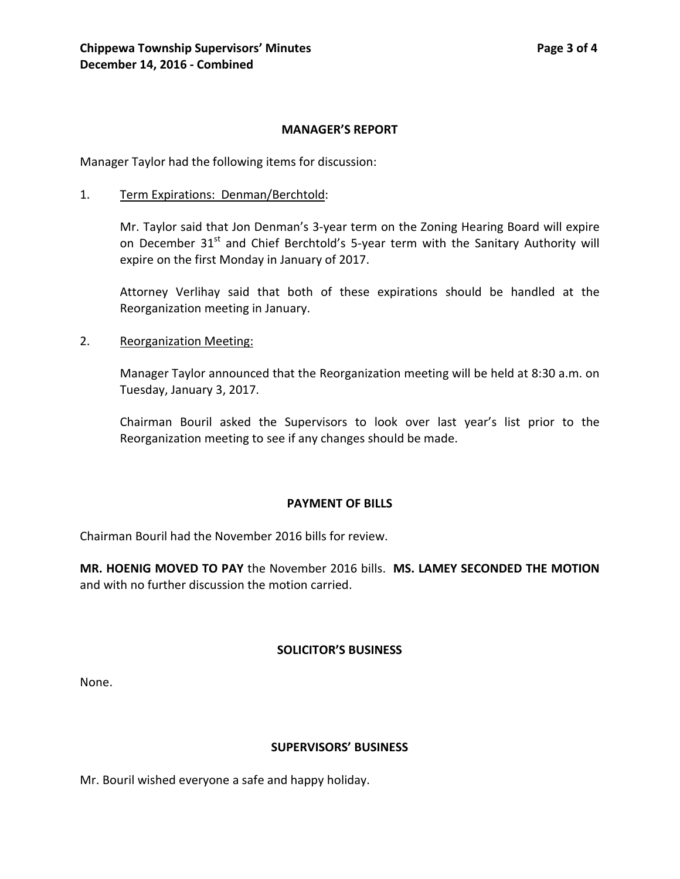# **MANAGER'S REPORT**

Manager Taylor had the following items for discussion:

1. Term Expirations: Denman/Berchtold:

Mr. Taylor said that Jon Denman's 3-year term on the Zoning Hearing Board will expire on December 31<sup>st</sup> and Chief Berchtold's 5-year term with the Sanitary Authority will expire on the first Monday in January of 2017.

Attorney Verlihay said that both of these expirations should be handled at the Reorganization meeting in January.

2. Reorganization Meeting:

Manager Taylor announced that the Reorganization meeting will be held at 8:30 a.m. on Tuesday, January 3, 2017.

Chairman Bouril asked the Supervisors to look over last year's list prior to the Reorganization meeting to see if any changes should be made.

# **PAYMENT OF BILLS**

Chairman Bouril had the November 2016 bills for review.

**MR. HOENIG MOVED TO PAY** the November 2016 bills. **MS. LAMEY SECONDED THE MOTION** and with no further discussion the motion carried.

# **SOLICITOR'S BUSINESS**

None.

# **SUPERVISORS' BUSINESS**

Mr. Bouril wished everyone a safe and happy holiday.